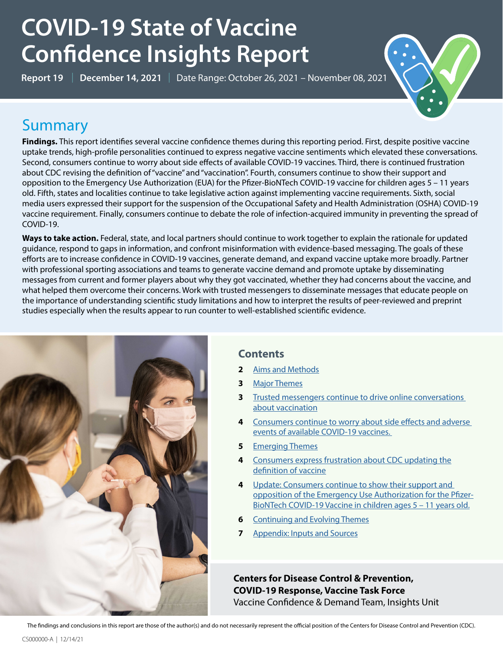# **COVID-19 State of Vaccine Confidence Insights Report**

**Report 19** | **December 14, 2021** | Date Range: October 26, 2021 – November 08, 2021



# **Summary**

**Findings.** This report identifies several vaccine confidence themes during this reporting period. First, despite positive vaccine uptake trends, high-profile personalities continued to express negative vaccine sentiments which elevated these conversations. Second, consumers continue to worry about side effects of available COVID-19 vaccines. Third, there is continued frustration about CDC revising the definition of "vaccine" and "vaccination". Fourth, consumers continue to show their support and opposition to the Emergency Use Authorization (EUA) for the Pfizer-BioNTech COVID-19 vaccine for children ages 5 – 11 years old. Fifth, states and localities continue to take legislative action against implementing vaccine requirements. Sixth, social media users expressed their support for the suspension of the Occupational Safety and Health Administration (OSHA) COVID-19 vaccine requirement. Finally, consumers continue to debate the role of infection-acquired immunity in preventing the spread of COVID-19.

**Ways to take action.** Federal, state, and local partners should continue to work together to explain the rationale for updated guidance, respond to gaps in information, and confront misinformation with evidence-based messaging. The goals of these efforts are to increase confidence in COVID-19 vaccines, generate demand, and expand vaccine uptake more broadly. Partner with professional sporting associations and teams to generate vaccine demand and promote uptake by disseminating messages from current and former players about why they got vaccinated, whether they had concerns about the vaccine, and what helped them overcome their concerns. Work with trusted messengers to disseminate messages that educate people on the importance of understanding scientific study limitations and how to interpret the results of peer-reviewed and preprint studies especially when the results appear to run counter to well-established scientific evidence.



### **Contents**

- **2** [Aims and Methods](#page-1-0)
- **3** [Major Themes](#page-2-0)
- **3** [Trusted messengers continue to drive online conversations](#page-2-1)  [about vaccination](#page-2-1)
- **4** [Consumers continue to worry about side effects and adverse](#page-3-0)  [events of available COVID-19 vaccines.](#page-3-0)
- **5** [Emerging Themes](#page-4-0)
- **4** [Consumers express frustration about CDC updating the](#page-4-1) [definition of vaccine](#page-4-1)
- **4** [Update: Consumers continue to show their support and](#page-5-0)  [opposition of the Emergency Use Authorization for the Pfizer-](#page-5-0)[BioNTech COVID-19 Vaccine in children ages 5 – 11 years old.](#page-5-0)
- **6** [Continuing and Evolving Themes](#page-6-0)
- **7** [Appendix: Inputs and Sources](#page-7-0)

**Centers for Disease Control & Prevention, COVID-19 Response, Vaccine Task Force** Vaccine Confidence & Demand Team, Insights Unit

The findings and conclusions in this report are those of the author(s) and do not necessarily represent the official position of the Centers for Disease Control and Prevention (CDC).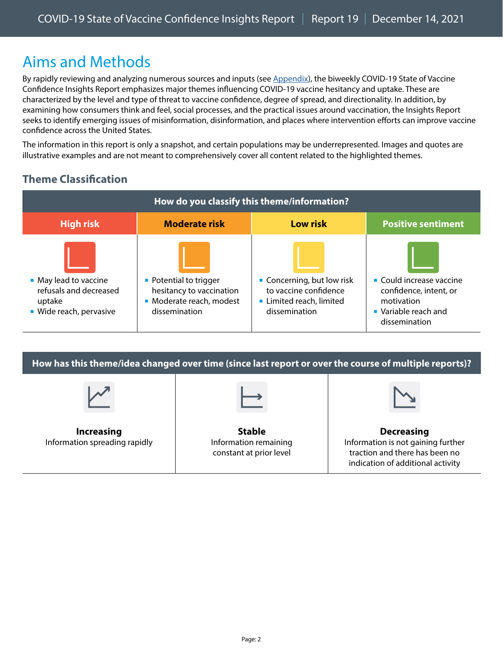# <span id="page-1-0"></span>Aims and Methods

By rapidly reviewing and analyzing numerous sources and inputs (see Appendix), the biweekly COVID-19 State of Vaccine Confidence Insights Report emphasizes major themes influencing COVID-19 vaccine hesitancy and uptake. These are characterized by the level and type of threat to vaccine confidence, degree of spread, and directionality. In addition, by examining how consumers think and feel, social processes, and the practical issues around vaccination, the Insights Report seeks to identify emerging issues of misinformation, disinformation, and places where intervention efforts can improve vaccine confidence across the United States.

The information in this report is only a snapshot, and certain populations may be underrepresented. Images and quotes are illustrative examples and are not meant to comprehensively cover all content related to the highlighted themes.

### **Theme Classification**

| How do you classify this theme/information?                                          |                                                                                                 |                                                                                                |                                                                                                                        |  |  |  |
|--------------------------------------------------------------------------------------|-------------------------------------------------------------------------------------------------|------------------------------------------------------------------------------------------------|------------------------------------------------------------------------------------------------------------------------|--|--|--|
| <b>High risk</b>                                                                     | <b>Moderate risk</b>                                                                            | <b>Low risk</b>                                                                                | <b>Positive sentiment</b>                                                                                              |  |  |  |
| • May lead to vaccine<br>refusals and decreased<br>uptake<br>· Wide reach, pervasive | • Potential to trigger<br>hesitancy to vaccination<br>• Moderate reach, modest<br>dissemination | • Concerning, but low risk<br>to vaccine confidence<br>Limited reach, limited<br>dissemination | $\blacksquare$ Could increase vaccine<br>confidence, intent, or<br>motivation<br>• Variable reach and<br>dissemination |  |  |  |

**How has this theme/idea changed over time (since last report or over the course of multiple reports)?** 

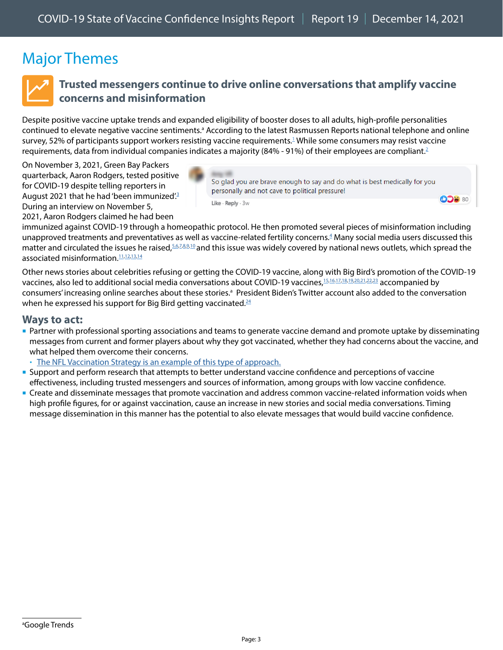# <span id="page-2-0"></span>Major Themes



### <span id="page-2-1"></span>**Trusted messengers continue to drive online conversations that amplify vaccine concerns and misinformation**

Despite positive vaccine uptake trends and expanded eligibility of booster doses to all adults, high-profile personalities continued to elevate negative vaccine sentiments.<sup>a</sup> According to the latest Rasmussen Reports national telephone and online survey, 52% of participants support workers resisting vaccine requirements.<sup>[1](https://www.rasmussenreports.com/public_content/politics/current_events/covid_19/majority_support_workers_resisting_vaccine_mandates)</sup> While some consumers may resist vaccine requirements, data from individual companies indicates a majority (84% - 91%) of their employees are compliant.<sup>2</sup>

On November 3, 2021, Green Bay Packers quarterback, Aaron Rodgers, tested positive for COVID-19 despite telling reporters in August 2021 that he had 'been immunized'.<sup>3</sup> During an interview on November 5, 2021, Aaron Rodgers claimed he had been



So glad you are brave enough to say and do what is best medically for you personally and not cave to political pressure!

**ODB 80** 

Like · Reply · 3w

immunized against COVID-19 through a homeopathic protocol. He then promoted several pieces of misinformation including unapproved treatments and preventatives as well as vaccine-related fertility concerns.<sup>4</sup> Many social media users discussed this matter and circulated the issues he raised, [5](https://www.facebook.com/tmj4/posts/10158878919828757?comment_id=10158878956503757)[,6](https://www.facebook.com/tmj4/posts/10158878919828757?comment_id=287673176558201)[,7](https://www.facebook.com/TheBlaze/posts/4827606633943305?comment_id=4827770763926892),[8](https://twitter.com/JimmyTraina/status/1456676938559463428)[,9](https://twitter.com/greg_price11/status/1456681905504591878),[10](https://www.facebook.com/NPR/posts/10161037614951756?comment_id=10161037636561756) and this issue was widely covered by national news outlets, which spread the associated misinformation.<sup>11,[12](https://www.theblaze.com/news/aaron-rodgers-blasts-leftists-vaccines),[13,](https://www.usatoday.com/story/sports/nfl/2021/11/05/aaron-rodgers-packers-qb-covid-19-not-vaccinated-comments/6301054001/)[14](https://www.nbclosangeles.com/news/national-international/fact-check-aaron-rodgers-inaccurate-covid-19-claims/2754510/)</sup>

Other news stories about celebrities refusing or getting the COVID-19 vaccine, along with Big Bird's promotion of the COVID-19 vaccines, also led to additional social media conversations about COVID-19 vaccines,[15](https://www.foxbusiness.com/entertainment/ice-cube-walks-away-9-million-movie-paycheck-after-refusing-coronavirus-vaccine-report)[,16.](https://www.nbcnews.com/politics/white-house/white-house-press-secretary-jen-psaki-tests-positive-covid-n1282819)[17](https://twitter.com/BigBird/status/1456971880666046465)[,18,](https://twitter.com/AngelaBelcamino/status/1457118855738834948)[19](https://twitter.com/r_neefe/status/1457850091545534470)[,20,](https://twitter.com/YeetumsS/status/1457134330292150272)[21](https://twitter.com/FiveTimesAugust/status/1457183215563726853),[22,](https://twitter.com/LPCO/status/1457110976461950987)[23](https://twitter.com/joelcomm/status/1457131919410438146) accompanied by consumers' increasing online searches about these stories.<sup>a</sup> President Biden's Twitter account also added to the conversation when he expressed his support for Big Bird getting vaccinated. $24$ 

#### **Ways to act:**

 Partner with professional sporting associations and teams to generate vaccine demand and promote uptake by disseminating messages from current and former players about why they got vaccinated, whether they had concerns about the vaccine, and what helped them overcome their concerns.

[The NFL Vaccination Strategy is an example of this type of approach.](https://www.cdc.gov/vaccines/covid-19/health-departments/features/NFL.html)

- Support and perform research that attempts to better understand vaccine confidence and perceptions of vaccine effectiveness, including trusted messengers and sources of information, among groups with low vaccine confidence.
- Create and disseminate messages that promote vaccination and address common vaccine-related information voids when high profile figures, for or against vaccination, cause an increase in new stories and social media conversations. Timing message dissemination in this manner has the potential to also elevate messages that would build vaccine confidence.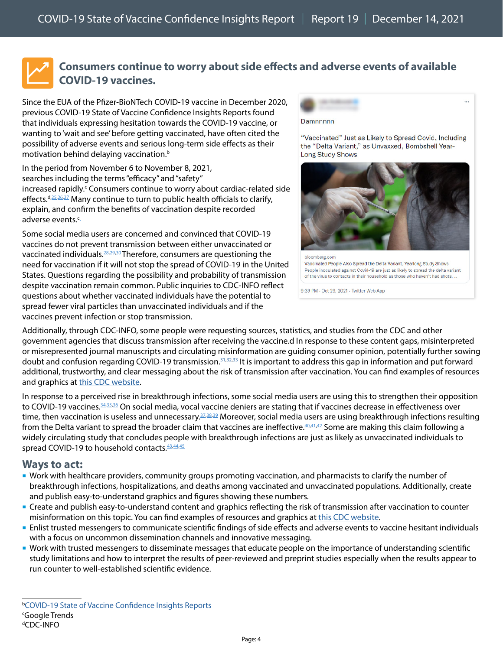

### <span id="page-3-0"></span>**Consumers continue to worry about side effects and adverse events of available COVID-19 vaccines.**

Since the EUA of the Pfizer-BioNTech COVID-19 vaccine in December 2020, previous COVID-19 State of Vaccine Confidence Insights Reports found that individuals expressing hesitation towards the COVID-19 vaccine, or wanting to 'wait and see' before getting vaccinated, have often cited the possibility of adverse events and serious long-term side effects as their motivation behind delaying vaccination.<sup>b</sup>

In the period from November 6 to November 8, 2021, searches including the terms "efficacy" and "safety" increased rapidly.<sup>c</sup> Consumers continue to worry about cardiac-related side effects. d,[25](https://www.facebook.com/Globalfreedomfighters/posts/284322433700005?comment_id=285822210216694)[,26,](https://twitter.com/Digitaltimmy1/status/1451642691897470981?s=20)[27](https://twitter.com/delphielphie/status/1451654392009138192?s=20) Many continue to turn to public health officials to clarify, explain, and confirm the benefits of vaccination despite recorded adverse events.<sup>c.</sup>

Some social media users are concerned and convinced that COVID-19 vaccines do not prevent transmission between either unvaccinated or vaccinated individuals[.28](https://twitter.com/Lukewearechange/status/1454261703328387073),[29](https://www.facebook.com/bbcnews/posts/10159096251317217?comment_id=10159096262957217)[,30](https://www.facebook.com/bbcnews/posts/10159096251317217?comment_id=10159096275787217) Therefore, consumers are questioning the need for vaccination if it will not stop the spread of COVID-19 in the United States. Questions regarding the possibility and probability of transmission despite vaccination remain common. Public inquiries to CDC-INFO reflect questions about whether vaccinated individuals have the potential to spread fewer viral particles than unvaccinated individuals and if the vaccines prevent infection or stop transmission.



"Vaccinated" Just as Likely to Spread Covid, Including the "Delta Variant," as Unvaxxed, Bombshell Year-**Long Study Shows** 



bloomberg.com Vaccinated People Also Spread the Delta Variant, Yearlong Study Shows People inoculated against Covid-19 are just as likely to spread the delta variant of the virus to contacts in their household as those who haven't had shots.

9:39 PM - Oct 29, 2021 - Twitter Web App

Additionally, through CDC-INFO, some people were requesting sources, statistics, and studies from the CDC and other government agencies that discuss transmission after receiving the vaccine.d In response to these content gaps, misinterpreted or misrepresented journal manuscripts and circulating misinformation are guiding consumer opinion, potentially further sowing doubt and confusion regarding COVID-19 transmission.<sup>31,[32](https://twitter.com/charliekirk11/status/1454138881066995715)[,33](https://twitter.com/Lukewearechange/status/1454261703328387073)</sup> It is important to address this gap in information and put forward additional, trustworthy, and clear messaging about the risk of transmission after vaccination. You can find examples of resources and graphics at [this CDC website.](https://www.cdc.gov/coronavirus/2019-ncov/communication/vaccination-toolkit.html)

In response to a perceived rise in breakthrough infections, some social media users are using this to strengthen their opposition to COVID-19 vaccines.<sup>34,[35](https://dashboard.projectvctr.com/?date=10-18-2021),[36](https://twitter.com/MerlinsHoof/status/1454194225495564289)</sup> On social media, vocal vaccine deniers are stating that if vaccines decrease in effectiveness over time, then vaccination is useless and unnecessary.<sup>37,[38](https://www.facebook.com/Globalfreedomfighters/posts/284322433700005?comment_id=284660113666237)[,39](https://www.facebook.com/Globalfreedomfighters/posts/284322433700005?comment_id=284617843670464)</sup> Moreover, social media users are using breakthrough infections resulting from the Delta variant to spread the broader claim that vaccines are ineffective.<sup>[40](https://twitter.com/theonlybigrich/status/1454136978404937728)[,41,](https://twitter.com/heyyitslaurennn/status/1454137011271569409)[42](https://twitter.com/Silent_Paul13/status/1454304472528719877)</sup> Some are making this claim following a widely circulating study that concludes people with breakthrough infections are just as likely as unvaccinated individuals to spread COVID-19 to household contacts.  $43,44,45$  $43,44,45$  $43,44,45$ 

#### **Ways to act:**

- Work with healthcare providers, community groups promoting vaccination, and pharmacists to clarify the number of breakthrough infections, hospitalizations, and deaths among vaccinated and unvaccinated populations. Additionally, create and publish easy-to-understand graphics and figures showing these numbers.
- Create and publish easy-to-understand content and graphics reflecting the risk of transmission after vaccination to counter misinformation on this topic. You can find examples of resources and graphics at [this CDC website](https://www.cdc.gov/coronavirus/2019-ncov/communication/vaccination-toolkit.html).
- Enlist trusted messengers to communicate scientific findings of side effects and adverse events to vaccine hesitant individuals with a focus on uncommon dissemination channels and innovative messaging.
- Work with trusted messengers to disseminate messages that educate people on the importance of understanding scientific study limitations and how to interpret the results of peer-reviewed and preprint studies especially when the results appear to run counter to well-established scientific evidence.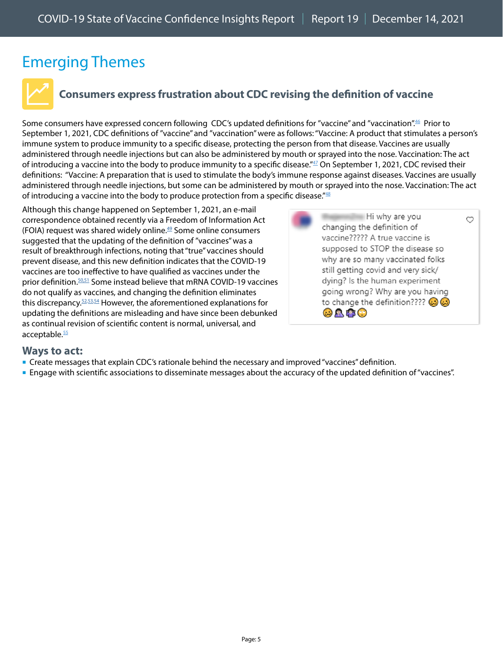# <span id="page-4-0"></span>Emerging Themes



### <span id="page-4-1"></span>**Consumers express frustration about CDC revising the definition of vaccine**

Some consumers have expressed concern following CDC's updated definitions for "vaccine" and "vaccination".<sup>46</sup> Prior to September 1, 2021, CDC definitions of "vaccine" and "vaccination" were as follows: "Vaccine: A product that stimulates a person's immune system to produce immunity to a specific disease, protecting the person from that disease. Vaccines are usually administered through needle injections but can also be administered by mouth or sprayed into the nose. Vaccination: The act of introducing a vaccine into the body to produce immunity to a specific disease."<sup>47</sup> On September 1, 2021, CDC revised their definitions: "Vaccine: A preparation that is used to stimulate the body's immune response against diseases. Vaccines are usually administered through needle injections, but some can be administered by mouth or sprayed into the nose. Vaccination: The act of introducing a vaccine into the body to produce protection from a specific disease." $48$ 

Although this change happened on September 1, 2021, an e-mail correspondence obtained recently via a Freedom of Information Act (FOIA) request was shared widely online.<sup>49</sup> Some online consumers suggested that the updating of the definition of "vaccines" was a result of breakthrough infections, noting that "true" vaccines should prevent disease, and this new definition indicates that the COVID-19 vaccines are too ineffective to have qualified as vaccines under the prior definition.[50](https://www.instagram.com/p/CV8a4KdMh8y/c/18200028793143365/),[51](https://twitter.com/BrandonSmillie/status/1455611182795034634) Some instead believe that mRNA COVID-19 vaccines do not qualify as vaccines, and changing the definition eliminates this discrepancy[.52,](https://twitter.com/KarnHall/status/1455632075260776449)[53](https://www.lifezette.com/2021/11/watch-vaccine-definition-quietly-changed-to-fit-the-narrative-mrna-jabs/?utm_source=home-top-stories),[54](https://www.thegatewaypundit.com/2021/11/breaking-proof-cdc-changed-definition-vaccine-prior-definition-allowed-people-claim-covid-19-vaccine-not-vaccine/) However, the aforementioned explanations for updating the definitions are misleading and have since been debunked as continual revision of scientific content is normal, universal, and acceptable.<sup>[55](https://www.politifact.com/factchecks/2021/nov/09/facebook-posts/merriam-webster-didnt-remove-immunity-portion-its-/)</sup>



#### **Ways to act:**

- Create messages that explain CDC's rationale behind the necessary and improved "vaccines" definition.
- Engage with scientific associations to disseminate messages about the accuracy of the updated definition of "vaccines".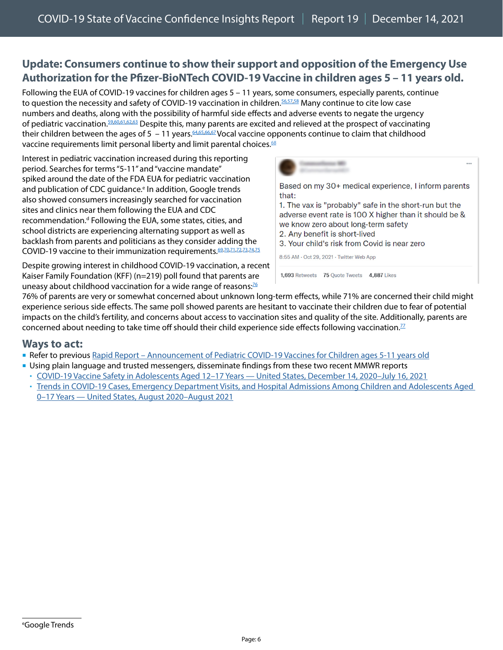### <span id="page-5-0"></span>**Update: Consumers continue to show their support and opposition of the Emergency Use Authorization for the Pfizer-BioNTech COVID-19 Vaccine in children ages 5 – 11 years old.**

Following the EUA of COVID-19 vaccines for children ages 5 – 11 years, some consumers, especially parents, continue to question the necessity and safety of COVID-19 vaccination in children. [56,57](https://twitter.com/EricDJuly/status/1453168307092217857),[58](https://twitter.com/kylenabecker/status/1453194246492758022) Many continue to cite low case numbers and deaths, along with the possibility of harmful side effects and adverse events to negate the urgency of pediatric vaccination[.59,](https://twitter.com/galexybrane/status/1453143987762524161)[60](https://twitter.com/CommonSenseMD1/status/1454069427150917638),[61,](https://twitter.com/kylenabecker/status/1453192395248607235)[62](https://twitter.com/CattHarmony/status/1455393091938963463),[63](https://www.facebook.com/cdc/posts/249180630576716?comment_id=421648352832055&__cft__%5b0%5d=AZUDxxuun5x0J7d3uVMJCJCl4IEZ0rAFZDirzRmwyWuCLofrbciZQxUap1SIUs4I3nzzLmO7dEnH4aD5RZYmrHR94Dnh39H-m8h-A_ieLRyJMWeSHp3wmdjClj6Cix4uU7T5IgkcCqQ1oR6vN5ZmIIuzMTqRHCPgxWCryeRQ-aUsNA&__tn__=R%5d-R) Despite this, many parents are excited and relieved at the prospect of vaccinating their children between the ages of 5 – 11 years.  $64,65,66,67$  $64,65,66,67$  $64,65,66,67$  $64,65,66,67$  Vocal vaccine opponents continue to claim that childhood vaccine requirements limit personal liberty and limit parental choices.<sup>68</sup>

Interest in pediatric vaccination increased during this reporting period. Searches for terms "5-11" and "vaccine mandate" spiked around the date of the FDA EUA for pediatric vaccination and publication of CDC guidance.<sup>e</sup> In addition, Google trends also showed consumers increasingly searched for vaccination sites and clinics near them following the EUA and CDC recommendation.<sup>d</sup> Following the EUA, some states, cities, and school districts are experiencing alternating support as well as backlash from parents and politicians as they consider adding the COVID-19 vaccine to their immunization requirements. 69,[70](https://www.facebook.com/TheAtlantic/posts/10160226968288487?comment_id=10160227785368487)[,71,](https://www.facebook.com/TheAtlantic/posts/10160226968288487?comment_id=10160228008458487)[72](https://twitter.com/Rothbard1776/status/1456091573754769410)[,73,](https://www.newsmax.com/us/children-covid-vaccinations-san-francisco/2021/11/04/id/1043356/)[74](https://www.wsj.com/articles/covid-vaccine-mandate-kids-unlawful-eua-emergency-use-authorization-5-to-11-year-old-11636493796),[75](https://www.foxnews.com/politics/cruz-introduces-bill-to-block-federal-government-public-schools-from-mandating-covid-19-vaccines-for-kids)

Based on my 30+ medical experience, I inform parents that: 1. The vax is "probably" safe in the short-run but the adverse event rate is 100 X higher than it should be & we know zero about long-term safety 2. Any benefit is short-lived 3. Your child's risk from Covid is near zero 8:55 AM · Oct 29, 2021 · Twitter Web App 1,693 Retweets 75 Quote Tweets 4,887 Likes

 $\ddotsc$ 

Despite growing interest in childhood COVID-19 vaccination, a recent Kaiser Family Foundation (KFF) (n=219) poll found that parents are uneasy about childhood vaccination for a wide range of reasons:<sup>[76](https://www.kff.org/coronavirus-covid-19/poll-finding/kff-covid-19-vaccine-monitor-october-2021/)</sup>

76% of parents are very or somewhat concerned about unknown long-term effects, while 71% are concerned their child might experience serious side effects. The same poll showed parents are hesitant to vaccinate their children due to fear of potential impacts on the child's fertility, and concerns about access to vaccination sites and quality of the site. Additionally, parents are concerned about needing to take time off should their child experience side effects following vaccination.<sup>77</sup>

#### **Ways to act:**

- Refer to previous [Rapid Report Announcement of Pediatric COVID-19 Vaccines for Children ages 5-11 years old](https://www.cdc.gov/vaccines/covid-19/downloads/2564_SoVC_PedsVaccine_11.15.21.pdf)
- Using plain language and trusted messengers, disseminate findings from these two recent MMWR reports
- [COVID-19 Vaccine Safety in Adolescents Aged 12–17 Years United States, December 14, 2020–July 16, 2021](https://www.cdc.gov/mmwr/volumes/70/wr/mm7031e1.htm?s_cid=mm7031e1_w)
- [Trends in COVID-19 Cases, Emergency Department Visits, and Hospital Admissions Among Children and Adolescents Aged](https://www.cdc.gov/mmwr/volumes/70/wr/mm7036e1.htm?s_cid=mm7036e1_w)  [0–17 Years — United States, August 2020–August 2021](https://www.cdc.gov/mmwr/volumes/70/wr/mm7036e1.htm?s_cid=mm7036e1_w)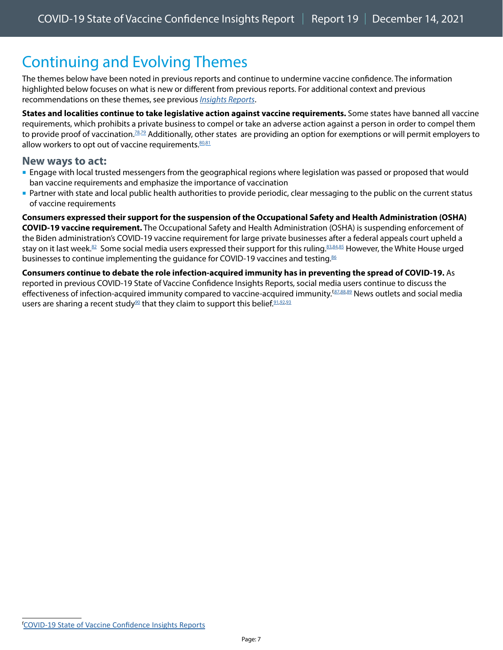# <span id="page-6-0"></span>Continuing and Evolving Themes

The themes below have been noted in previous reports and continue to undermine vaccine confidence. The information highlighted below focuses on what is new or different from previous reports. For additional context and previous recommendations on these themes, see previous *[Insights Reports](https://www.cdc.gov/vaccines/covid-19/vaccinate-with-confidence.html#reports)*.

**States and localities continue to take legislative action against vaccine requirements.** Some states have banned all vaccine requirements, which prohibits a private business to compel or take an adverse action against a person in order to compel them to provide proof of vaccination.<sup>[78](https://twitter.com/tedcruz/status/1456259623107784704),79</sup> Additionally, other states are providing an option for exemptions or will permit employers to allow workers to opt out of vaccine requirements. $80,81$  $80,81$ 

#### **New ways to act:**

- **Engage with local trusted messengers from the geographical regions where legislation was passed or proposed that would** ban vaccine requirements and emphasize the importance of vaccination
- Partner with state and local public health authorities to provide periodic, clear messaging to the public on the current status of vaccine requirements

**Consumers expressed their support for the suspension of the Occupational Safety and Health Administration (OSHA) COVID-19 vaccine requirement.** The Occupational Safety and Health Administration (OSHA) is suspending enforcement of the Biden administration's COVID-19 vaccine requirement for large private businesses after a federal appeals court upheld a stay on it last week.<sup>82</sup> Some social media users expressed their support for this ruling.<sup>[83,](https://twitter.com/MichaelPSenger/status/1457415545314185220)[84](https://twitter.com/Techno_Fog/status/1457785161878147089),85</sup> However, the White House urged businesses to continue implementing the guidance for COVID-19 vaccines and testing.<sup>[86](https://www.littler.com/publication-press/publication/fifth-circuit-enjoins-osha-enforcing-mandatory-vaccination-or-test)</sup>

**Consumers continue to debate the role infection-acquired immunity has in preventing the spread of COVID-19.** As reported in previous COVID-19 State of Vaccine Confidence Insights Reports, social media users continue to discuss the effectiveness of infection-acquired immunity compared to vaccine-acquired immunity.<sup>[87,[88](https://twitter.com/kylenabecker/status/1456253868665446400),89</sup>] News outlets and social media users are sharing a recent study<sup>90</sup> that they claim to support this belief.<sup>91,[92](https://twitter.com/Thomas1774Paine/status/1453480383782211590)[,93](https://paine.tv/yale-study-natural-immunity-protects-against-covid-three-times-longer-than-vaccine/)</sup>